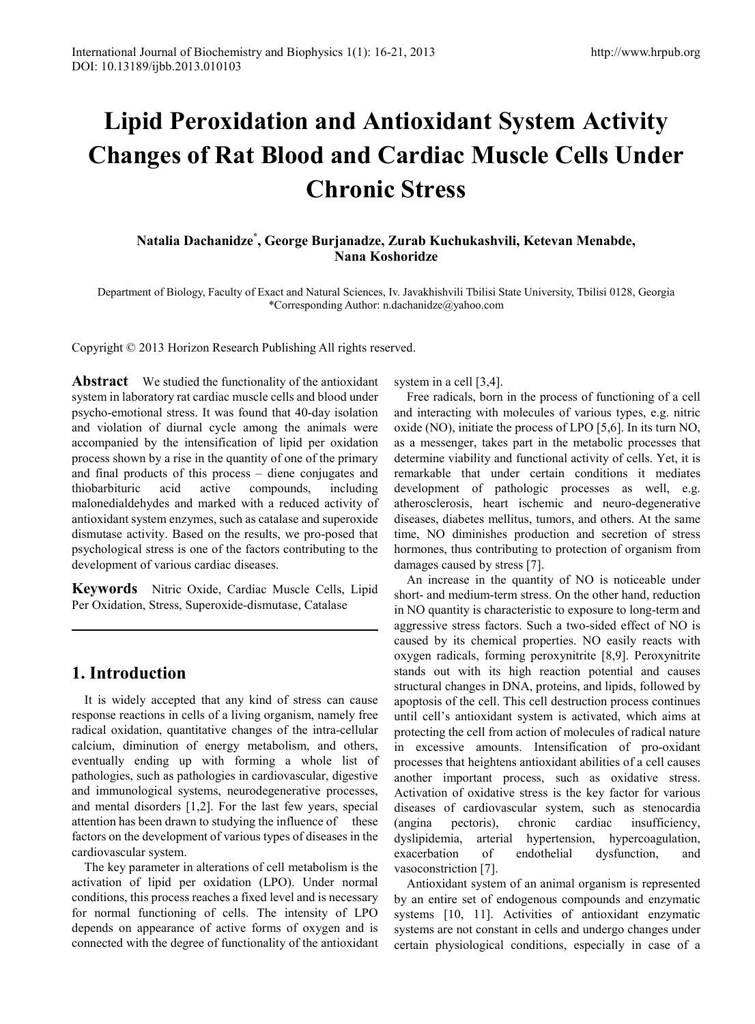# **Lipid Peroxidation and Antioxidant System Activity Changes of Rat Blood and Cardiac Muscle Cells Under Chronic Stress**

## **Natalia Dachanidze\* , George Burjanadze, Zurab Kuchukashvili, Ketevan Menabde, Nana Koshoridze**

Department of Biology, Faculty of Exact and Natural Sciences, Iv. Javakhishvili Tbilisi State University, Tbilisi 0128, Georgia \*Corresponding Author: n.dachanidze@yahoo.com

Copyright © 2013 Horizon Research Publishing All rights reserved.

**Abstract** We studied the functionality of the antioxidant system in laboratory rat cardiac muscle cells and blood under psycho-emotional stress. It was found that 40-day isolation and violation of diurnal cycle among the animals were accompanied by the intensification of lipid per oxidation process shown by a rise in the quantity of one of the primary and final products of this process – diene conjugates and thiobarbituric acid active compounds, including malonedialdehydes and marked with a reduced activity of antioxidant system enzymes, such as catalase and superoxide dismutase activity. Based on the results, we pro-posed that psychological stress is one of the factors contributing to the development of various cardiac diseases.

**Keywords** Nitric Oxide, Cardiac Muscle Cells, Lipid Per Oxidation, Stress, Superoxide-dismutase, Catalase

## **1. Introduction**

It is widely accepted that any kind of stress can cause response reactions in cells of a living organism, namely free radical oxidation, quantitative changes of the intra-cellular calcium, diminution of energy metabolism, and others, eventually ending up with forming a whole list of pathologies, such as pathologies in cardiovascular, digestive and immunological systems, neurodegenerative processes, and mental disorders [1,2]. For the last few years, special attention has been drawn to studying the influence of these factors on the development of various types of diseases in the cardiovascular system.

The key parameter in alterations of cell metabolism is the activation of lipid per oxidation (LPO). Under normal conditions, this process reaches a fixed level and is necessary for normal functioning of cells. The intensity of LPO depends on appearance of active forms of oxygen and is connected with the degree of functionality of the antioxidant

system in a cell [3,4].

Free radicals, born in the process of functioning of a cell and interacting with molecules of various types, e.g. nitric oxide (NO), initiate the process of LPO [5,6]. In its turn NO, as a messenger, takes part in the metabolic processes that determine viability and functional activity of cells. Yet, it is remarkable that under certain conditions it mediates development of pathologic processes as well, e.g. atherosclerosis, heart ischemic and neuro-degenerative diseases, diabetes mellitus, tumors, and others. At the same time, NO diminishes production and secretion of stress hormones, thus contributing to protection of organism from damages caused by stress [7].

An increase in the quantity of NO is noticeable under short- and medium-term stress. On the other hand, reduction in NO quantity is characteristic to exposure to long-term and aggressive stress factors. Such a two-sided effect of NO is caused by its chemical properties. NO easily reacts with oxygen radicals, forming peroxynitrite [8,9]. Peroxynitrite stands out with its high reaction potential and causes structural changes in DNA, proteins, and lipids, followed by apoptosis of the cell. This cell destruction process continues until cell's antioxidant system is activated, which aims at protecting the cell from action of molecules of radical nature in excessive amounts. Intensification of pro-oxidant processes that heightens antioxidant abilities of a cell causes another important process, such as oxidative stress. Activation of oxidative stress is the key factor for various diseases of cardiovascular system, such as stenocardia (angina pectoris), chronic cardiac insufficiency, dyslipidemia, arterial hypertension, hypercoagulation, exacerbation of endothelial dysfunction, and vasoconstriction [7].

Antioxidant system of an animal organism is represented by an entire set of endogenous compounds and enzymatic systems [10, 11]. Activities of antioxidant enzymatic systems are not constant in cells and undergo changes under certain physiological conditions, especially in case of a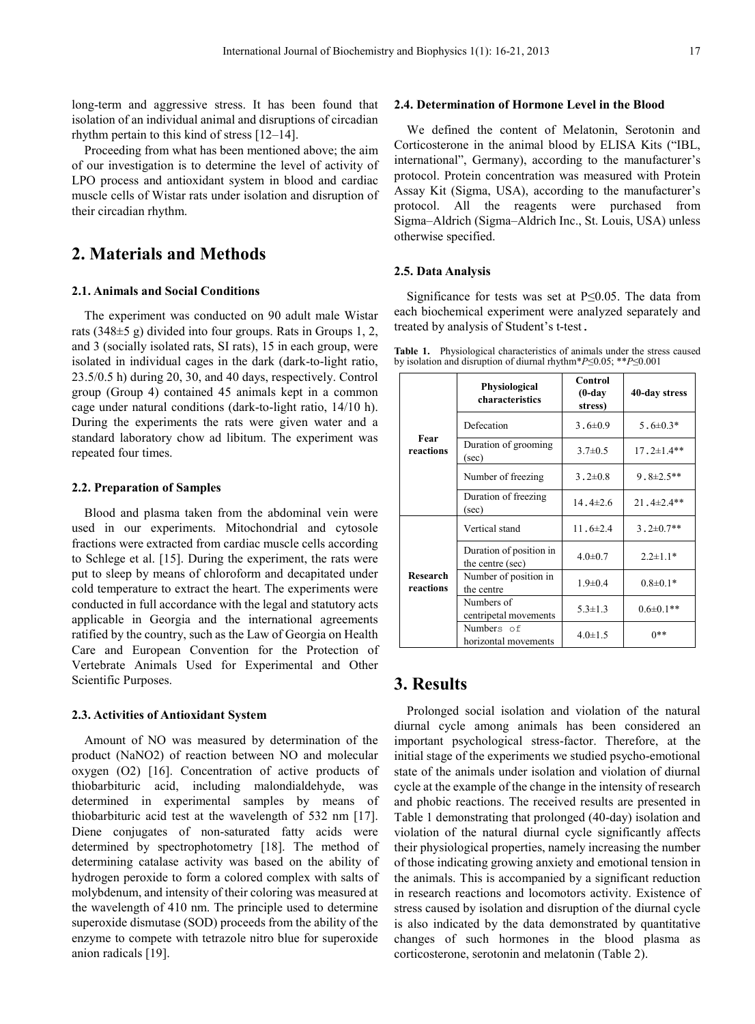long-term and aggressive stress. It has been found that isolation of an individual animal and disruptions of circadian rhythm pertain to this kind of stress [12–14].

Proceeding from what has been mentioned above; the aim of our investigation is to determine the level of activity of LPO process and antioxidant system in blood and cardiac muscle cells of Wistar rats under isolation and disruption of their circadian rhythm.

## **2. Materials and Methods**

### **2.1. Animals and Social Conditions**

The experiment was conducted on 90 adult male Wistar rats (348±5 g) divided into four groups. Rats in Groups 1, 2, and 3 (socially isolated rats, SI rats), 15 in each group, were isolated in individual cages in the dark (dark-to-light ratio, 23.5/0.5 h) during 20, 30, and 40 days, respectively. Control group (Group 4) contained 45 animals kept in a common cage under natural conditions (dark-to-light ratio, 14/10 h). During the experiments the rats were given water and a standard laboratory chow ad libitum. The experiment was repeated four times.

#### **2.2. Preparation of Samples**

Blood and plasma taken from the abdominal vein were used in our experiments. Mitochondrial and cytosole fractions were extracted from cardiac muscle cells according to Schlege et al. [15]. During the experiment, the rats were put to sleep by means of chloroform and decapitated under cold temperature to extract the heart. The experiments were conducted in full accordance with the legal and statutory acts applicable in Georgia and the international agreements ratified by the country, such as the Law of Georgia on Health Care and European Convention for the Protection of Vertebrate Animals Used for Experimental and Other Scientific Purposes.

#### **2.3. Activities of Antioxidant System**

Amount of NO was measured by determination of the product (NaNO2) of reaction between NO and molecular oxygen (O2) [16]. Concentration of active products of thiobarbituric acid, including malondialdehyde, was determined in experimental samples by means of thiobarbituric acid test at the wavelength of 532 nm [17]. Diene conjugates of non-saturated fatty acids were determined by spectrophotometry [18]. The method of determining catalase activity was based on the ability of hydrogen peroxide to form a colored complex with salts of molybdenum, and intensity of their coloring was measured at the wavelength of 410 nm. The principle used to determine superoxide dismutase (SOD) proceeds from the ability of the enzyme to compete with tetrazole nitro blue for superoxide anion radicals [19].

#### **2.4. Determination of Hormone Level in the Blood**

We defined the content of Melatonin, Serotonin and Corticosterone in the animal blood by ELISA Kits ("IBL, international", Germany), according to the manufacturer's protocol. Protein concentration was measured with Protein Assay Kit (Sigma, USA), according to the manufacturer's protocol. All the reagents were purchased from Sigma–Aldrich (Sigma–Aldrich Inc., St. Louis, USA) unless otherwise specified.

#### **2.5. Data Analysis**

Significance for tests was set at P≤0.05. The data from each biochemical experiment were analyzed separately and treated by analysis of Student's t-test.

**Table 1.** Physiological characteristics of animals under the stress caused by isolation and disruption of diurnal rhythm\**P*≤0.05; \*\**P*≤0.001

|                              | Physiological<br>characteristics            | Control<br>$(0-day)$<br>stress) | 40-day stress     |
|------------------------------|---------------------------------------------|---------------------------------|-------------------|
| Fear<br>reactions            | Defecation                                  | $3.6 \pm 0.9$                   | $5.6 \pm 0.3*$    |
|                              | Duration of grooming<br>(sec)               | $3.7 \pm 0.5$                   | $17.2 \pm 1.4**$  |
|                              | Number of freezing                          | $3.2 \pm 0.8$                   | $9.8 \pm 2.5$ **  |
|                              | Duration of freezing<br>(sec)               | $14.4 \pm 2.6$                  | $21.4 \pm 2.4$ ** |
|                              | Vertical stand                              | $11.6 \pm 2.4$                  | $3.2 \pm 0.7$ **  |
|                              | Duration of position in<br>the centre (sec) | $4.0 \pm 0.7$                   | $2.2 \pm 1.1*$    |
| <b>Research</b><br>reactions | Number of position in<br>the centre         | $1.9 \pm 0.4$                   | $0.8 \pm 0.1*$    |
|                              | Numbers of<br>centripetal movements         | $5.3 \pm 1.3$                   | $0.6 \pm 0.1**$   |
|                              | Numbers of<br>horizontal movements          | $4.0 \pm 1.5$                   |                   |

## **3. Results**

Prolonged social isolation and violation of the natural diurnal cycle among animals has been considered an important psychological stress-factor. Therefore, at the initial stage of the experiments we studied psycho-emotional state of the animals under isolation and violation of diurnal cycle at the example of the change in the intensity of research and phobic reactions. The received results are presented in Table 1 demonstrating that prolonged (40-day) isolation and violation of the natural diurnal cycle significantly affects their physiological properties, namely increasing the number of those indicating growing anxiety and emotional tension in the animals. This is accompanied by a significant reduction in research reactions and locomotors activity. Existence of stress caused by isolation and disruption of the diurnal cycle is also indicated by the data demonstrated by quantitative changes of such hormones in the blood plasma as corticosterone, serotonin and melatonin (Table 2).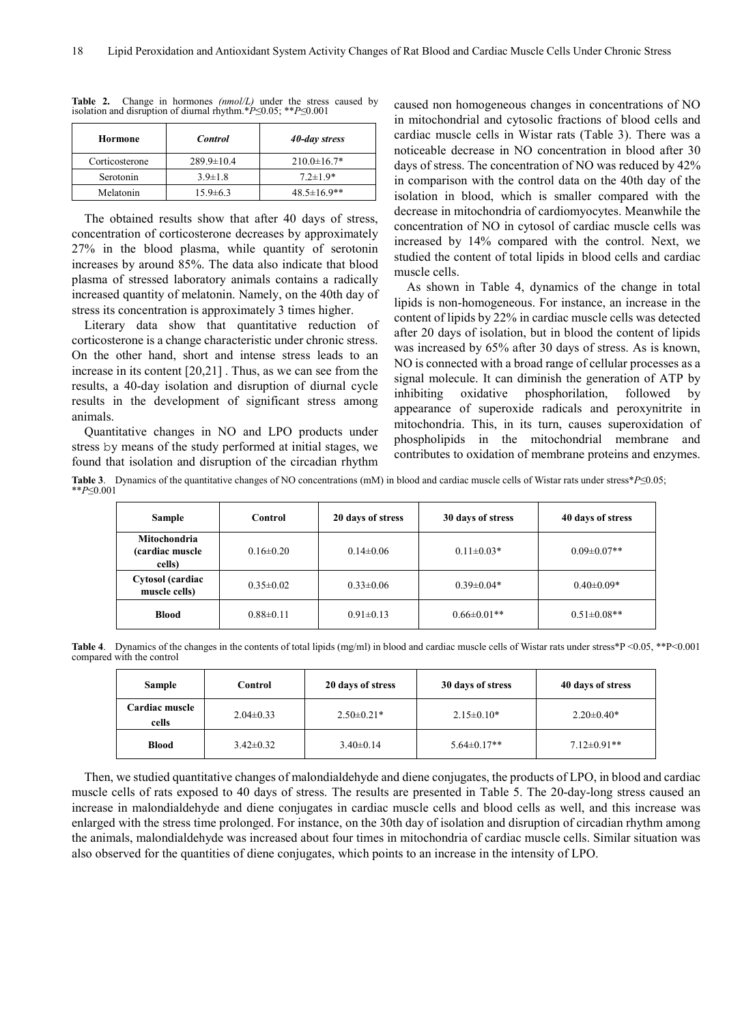| Hormone        | <b>Control</b>   | 40-day stress      |
|----------------|------------------|--------------------|
| Corticosterone | $289.9 \pm 10.4$ | $210.0 \pm 16.7*$  |
| Serotonin      | $3.9 \pm 1.8$    | $7.2 \pm 1.9*$     |
| Melatonin      | $15.9 \pm 6.3$   | $48.5 \pm 16.9$ ** |

**Table 2.** Change in hormones *(nmol/L)* under the stress caused by isolation and disruption of diurnal rhythm.\**P*≤0.05; \*\**P*≤0.001

The obtained results show that after 40 days of stress, concentration of corticosterone decreases by approximately 27% in the blood plasma, while quantity of serotonin increases by around 85%. The data also indicate that blood plasma of stressed laboratory animals contains a radically increased quantity of melatonin. Namely, on the 40th day of stress its concentration is approximately 3 times higher.

Literary data show that quantitative reduction of corticosterone is a change characteristic under chronic stress. On the other hand, short and intense stress leads to an increase in its content [20,21] . Thus, as we can see from the results, a 40-day isolation and disruption of diurnal cycle results in the development of significant stress among animals.

Quantitative changes in NO and LPO products under stress by means of the study performed at initial stages, we found that isolation and disruption of the circadian rhythm

caused non homogeneous changes in concentrations of NO in mitochondrial and cytosolic fractions of blood cells and cardiac muscle cells in Wistar rats (Table 3). There was a noticeable decrease in NO concentration in blood after 30 days of stress. The concentration of NO was reduced by 42% in comparison with the control data on the 40th day of the isolation in blood, which is smaller compared with the decrease in mitochondria of cardiomyocytes. Meanwhile the concentration of NO in cytosol of cardiac muscle cells was increased by 14% compared with the control. Next, we studied the content of total lipids in blood cells and cardiac muscle cells.

As shown in Table 4, dynamics of the change in total lipids is non-homogeneous. For instance, an increase in the content of lipids by 22% in cardiac muscle cells was detected after 20 days of isolation, but in blood the content of lipids was increased by 65% after 30 days of stress. As is known, NO is connected with a broad range of cellular processes as a signal molecule. It can diminish the generation of ATP by inhibiting oxidative phosphorilation, followed by appearance of superoxide radicals and peroxynitrite in mitochondria. This, in its turn, causes superoxidation of phospholipids in the mitochondrial membrane and contributes to oxidation of membrane proteins and enzymes.

**Table 3**. Dynamics of the quantitative changes of NO concentrations (mM) in blood and cardiac muscle cells of Wistar rats under stress\**P*≤0.05; \*\**P*≤0.001

| <b>Sample</b>                                     | Control         | 20 days of stress | 30 days of stress | 40 days of stress  |
|---------------------------------------------------|-----------------|-------------------|-------------------|--------------------|
| <b>Mitochondria</b><br>(cardiac muscle)<br>cells) | $0.16 \pm 0.20$ | $0.14 \pm 0.06$   | $0.11 \pm 0.03*$  | $0.09 \pm 0.07**$  |
| Cytosol (cardiac<br>muscle cells)                 | $0.35 \pm 0.02$ | $0.33 \pm 0.06$   | $0.39 \pm 0.04*$  | $0.40 \pm 0.09*$   |
| <b>Blood</b>                                      | $0.88 \pm 0.11$ | $0.91 \pm 0.13$   | $0.66 \pm 0.01**$ | $0.51 \pm 0.08$ ** |

**Table 4**. Dynamics of the changes in the contents of total lipids (mg/ml) in blood and cardiac muscle cells of Wistar rats under stress\*P <0.05, \*\*P<0.001 compared with the control

| <b>Sample</b>                  | Control         | 20 days of stress | 30 days of stress | 40 days of stress |
|--------------------------------|-----------------|-------------------|-------------------|-------------------|
| <b>Cardiac muscle</b><br>cells | $2.04\pm0.33$   | $2.50 \pm 0.21*$  | $2.15 \pm 0.10*$  | $2.20 \pm 0.40*$  |
| <b>Blood</b>                   | $3.42 \pm 0.32$ | $3.40\pm0.14$     | $5.64 \pm 0.17**$ | $7.12 \pm 0.91**$ |

Then, we studied quantitative changes of malondialdehyde and diene conjugates, the products of LPO, in blood and cardiac muscle cells of rats exposed to 40 days of stress. The results are presented in Table 5. The 20-day-long stress caused an increase in malondialdehyde and diene conjugates in cardiac muscle cells and blood cells as well, and this increase was enlarged with the stress time prolonged. For instance, on the 30th day of isolation and disruption of circadian rhythm among the animals, malondialdehyde was increased about four times in mitochondria of cardiac muscle cells. Similar situation was also observed for the quantities of diene conjugates, which points to an increase in the intensity of LPO.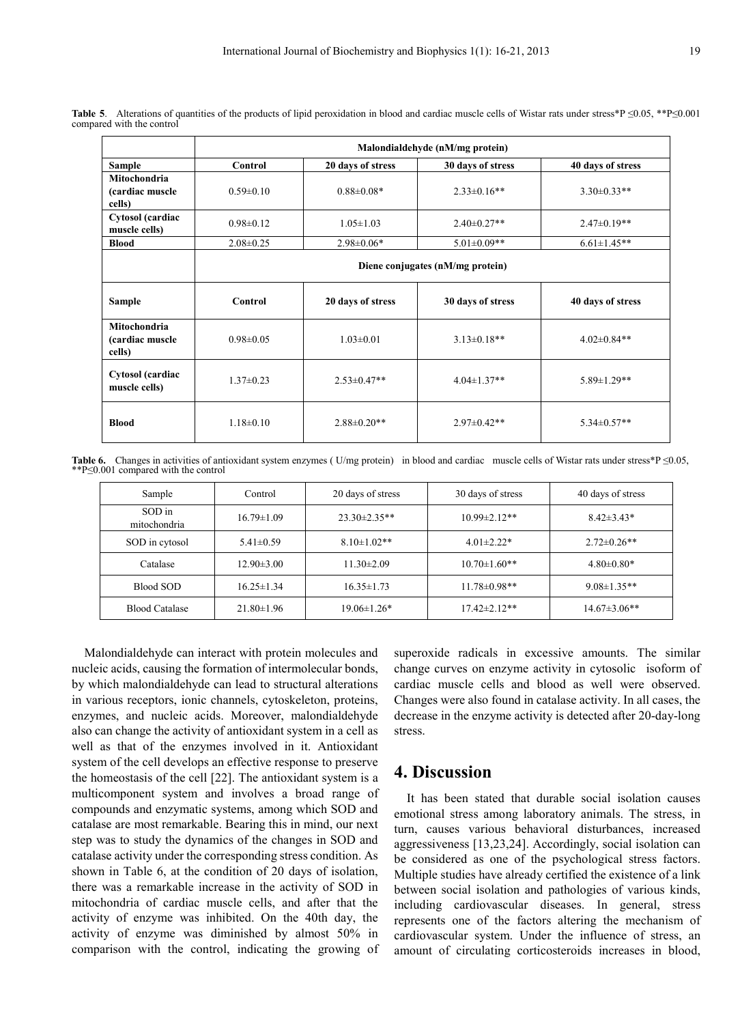|                                                  | Malondialdehyde (nM/mg protein)  |                   |                   |                   |
|--------------------------------------------------|----------------------------------|-------------------|-------------------|-------------------|
| <b>Sample</b>                                    | Control                          | 20 days of stress | 30 days of stress | 40 days of stress |
| <b>Mitochondria</b><br>(cardiac muscle<br>cells) | $0.59 \pm 0.10$                  | $0.88 \pm 0.08*$  | $2.33 \pm 0.16**$ | $3.30\pm0.33**$   |
| Cytosol (cardiac<br>muscle cells)                | $0.98 \pm 0.12$                  | $1.05 \pm 1.03$   | $2.40 \pm 0.27**$ | $2.47 \pm 0.19**$ |
| <b>Blood</b>                                     | $2.08 \pm 0.25$                  | $2.98 \pm 0.06*$  | $5.01 \pm 0.09**$ | $6.61 \pm 1.45**$ |
|                                                  | Diene conjugates (nM/mg protein) |                   |                   |                   |
| <b>Sample</b>                                    | Control                          | 20 days of stress | 30 days of stress | 40 days of stress |
| Mitochondria<br>(cardiac muscle<br>cells)        | $0.98 \pm 0.05$                  | $1.03 \pm 0.01$   | $3.13 \pm 0.18**$ | $4.02 \pm 0.84**$ |
| Cytosol (cardiac<br>muscle cells)                | $1.37\pm0.23$                    | $2.53 \pm 0.47**$ | $4.04 \pm 1.37**$ | $5.89 \pm 1.29**$ |
| <b>Blood</b>                                     | $1.18 \pm 0.10$                  | $2.88 \pm 0.20**$ | $2.97 \pm 0.42**$ | $5.34 \pm 0.57**$ |

Table 5. Alterations of quantities of the products of lipid peroxidation in blood and cardiac muscle cells of Wistar rats under stress\*P ≤0.05, \*\*P≤0.001 compared with the control

Table 6. Changes in activities of antioxidant system enzymes (U/mg protein) in blood and cardiac muscle cells of Wistar rats under stress\*P ≤0.05, \*\*P≤0.001 compared with the control

| Sample                 | Control          | 20 days of stress  | 30 days of stress   | 40 days of stress   |
|------------------------|------------------|--------------------|---------------------|---------------------|
| SOD in<br>mitochondria | $16.79 \pm 1.09$ | $23.30 \pm 2.35**$ | $10.99 \pm 2.12**$  | $8.42 \pm 3.43*$    |
| SOD in cytosol         | $5.41 \pm 0.59$  | $8.10 \pm 1.02$ ** | $4.01 \pm 2.22*$    | $2.72 \pm 0.26$ **  |
| Catalase               | $12.90 \pm 3.00$ | $11.30 \pm 2.09$   | $10.70 \pm 1.60$ ** | $4.80 \pm 0.80*$    |
| <b>Blood SOD</b>       | $16.25 \pm 1.34$ | $16.35 \pm 1.73$   | $11.78 \pm 0.98$ ** | $9.08 \pm 1.35**$   |
| <b>Blood Catalase</b>  | $21.80 \pm 1.96$ | $19.06 \pm 1.26*$  | 17.42±2.12**        | $14.67 \pm 3.06$ ** |

Malondialdehyde can interact with protein molecules and nucleic acids, causing the formation of intermolecular bonds, by which malondialdehyde can lead to structural alterations in various receptors, ionic channels, cytoskeleton, proteins, enzymes, and nucleic acids. Moreover, malondialdehyde also can change the activity of antioxidant system in a cell as well as that of the enzymes involved in it. Antioxidant system of the cell develops an effective response to preserve the homeostasis of the cell [22]. The antioxidant system is a multicomponent system and involves a broad range of compounds and enzymatic systems, among which SOD and catalase are most remarkable. Bearing this in mind, our next step was to study the dynamics of the changes in SOD and catalase activity under the corresponding stress condition. As shown in Table 6, at the condition of 20 days of isolation, there was a remarkable increase in the activity of SOD in mitochondria of cardiac muscle cells, and after that the activity of enzyme was inhibited. On the 40th day, the activity of enzyme was diminished by almost 50% in comparison with the control, indicating the growing of superoxide radicals in excessive amounts. The similar change curves on enzyme activity in cytosolic isoform of cardiac muscle cells and blood as well were observed. Changes were also found in catalase activity. In all cases, the decrease in the enzyme activity is detected after 20-day-long stress.

## **4. Discussion**

It has been stated that durable social isolation causes emotional stress among laboratory animals. The stress, in turn, causes various behavioral disturbances, increased aggressiveness [13,23,24]. Accordingly, social isolation can be considered as one of the psychological stress factors. Multiple studies have already certified the existence of a link between social isolation and pathologies of various kinds, including cardiovascular diseases. In general, stress represents one of the factors altering the mechanism of cardiovascular system. Under the influence of stress, an amount of circulating corticosteroids increases in blood,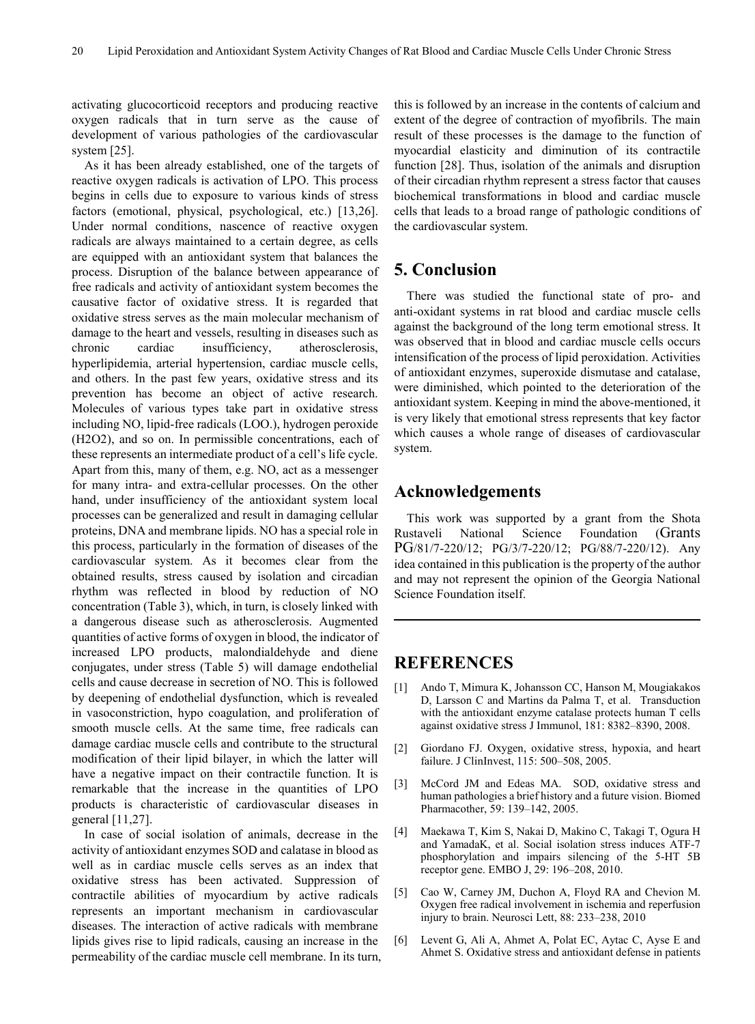activating glucocorticoid receptors and producing reactive oxygen radicals that in turn serve as the cause of development of various pathologies of the cardiovascular system [25].

As it has been already established, one of the targets of reactive oxygen radicals is activation of LPO. This process begins in cells due to exposure to various kinds of stress factors (emotional, physical, psychological, etc.) [13,26]. Under normal conditions, nascence of reactive oxygen radicals are always maintained to a certain degree, as cells are equipped with an antioxidant system that balances the process. Disruption of the balance between appearance of free radicals and activity of antioxidant system becomes the causative factor of oxidative stress. It is regarded that oxidative stress serves as the main molecular mechanism of damage to the heart and vessels, resulting in diseases such as chronic cardiac insufficiency, atherosclerosis, hyperlipidemia, arterial hypertension, cardiac muscle cells, and others. In the past few years, oxidative stress and its prevention has become an object of active research. Molecules of various types take part in oxidative stress including NO, lipid-free radicals (LOO.), hydrogen peroxide (H2O2), and so on. In permissible concentrations, each of these represents an intermediate product of a cell's life cycle. Apart from this, many of them, e.g. NO, act as a messenger for many intra- and extra-cellular processes. On the other hand, under insufficiency of the antioxidant system local processes can be generalized and result in damaging cellular proteins, DNA and membrane lipids. NO has a special role in this process, particularly in the formation of diseases of the cardiovascular system. As it becomes clear from the obtained results, stress caused by isolation and circadian rhythm was reflected in blood by reduction of NO concentration (Table 3), which, in turn, is closely linked with a dangerous disease such as atherosclerosis. Augmented quantities of active forms of oxygen in blood, the indicator of increased LPO products, malondialdehyde and diene conjugates, under stress (Table 5) will damage endothelial cells and cause decrease in secretion of NO. This is followed by deepening of endothelial dysfunction, which is revealed in vasoconstriction, hypo coagulation, and proliferation of smooth muscle cells. At the same time, free radicals can damage cardiac muscle cells and contribute to the structural modification of their lipid bilayer, in which the latter will have a negative impact on their contractile function. It is remarkable that the increase in the quantities of LPO products is characteristic of cardiovascular diseases in general [11,27].

In case of social isolation of animals, decrease in the activity of antioxidant enzymes SOD and calatase in blood as well as in cardiac muscle cells serves as an index that oxidative stress has been activated. Suppression of contractile abilities of myocardium by active radicals represents an important mechanism in cardiovascular diseases. The interaction of active radicals with membrane lipids gives rise to lipid radicals, causing an increase in the permeability of the cardiac muscle cell membrane. In its turn,

this is followed by an increase in the contents of calcium and extent of the degree of contraction of myofibrils. The main result of these processes is the damage to the function of myocardial elasticity and diminution of its contractile function [28]. Thus, isolation of the animals and disruption of their circadian rhythm represent a stress factor that causes biochemical transformations in blood and cardiac muscle cells that leads to a broad range of pathologic conditions of the cardiovascular system.

## **5. Conclusion**

There was studied the functional state of pro- and anti-oxidant systems in rat blood and cardiac muscle cells against the background of the long term emotional stress. It was observed that in blood and cardiac muscle cells occurs intensification of the process of lipid peroxidation. Activities of antioxidant enzymes, superoxide dismutase and catalase, were diminished, which pointed to the deterioration of the antioxidant system. Keeping in mind the above-mentioned, it is very likely that emotional stress represents that key factor which causes a whole range of diseases of cardiovascular system.

## **Acknowledgements**

This work was supported by a grant from the Shota Rustaveli National Science Foundation (Grants PG/81/7-220/12; PG/3/7-220/12; PG/88/7-220/12). Any idea contained in this publication is the property of the author and may not represent the opinion of the Georgia National Science Foundation itself.

## **REFERENCES**

- [1] Ando T, Mimura K, Johansson CC, Hanson M, Mougiakakos D, Larsson C and Martins da Palma T, et al. Transduction with the antioxidant enzyme catalase protects human T cells against oxidative stress J Immunol, 181: 8382–8390, 2008.
- [2] Giordano FJ. Oxygen, oxidative stress, hypoxia, and heart failure. J ClinInvest, 115: 500–508, 2005.
- [3] McCord JM and Edeas MA. SOD, oxidative stress and human pathologies a brief history and a future vision. Biomed Pharmacother, 59: 139–142, 2005.
- [4] Maekawa T, Kim S, Nakai D, Makino C, Takagi T, Ogura H and YamadaK, et al. Social isolation stress induces ATF-7 phosphorylation and impairs silencing of the 5-HT 5B receptor gene. EMBO J, 29: 196–208, 2010.
- [5] Cao W, Carney JM, Duchon A, Floyd RA and Chevion M. Oxygen free radical involvement in ischemia and reperfusion injury to brain. Neurosci Lett, 88: 233–238, 2010
- [6] Levent G, Ali A, Ahmet A, Polat EC, Aytac C, Ayse E and Ahmet S. Oxidative stress and antioxidant defense in patients